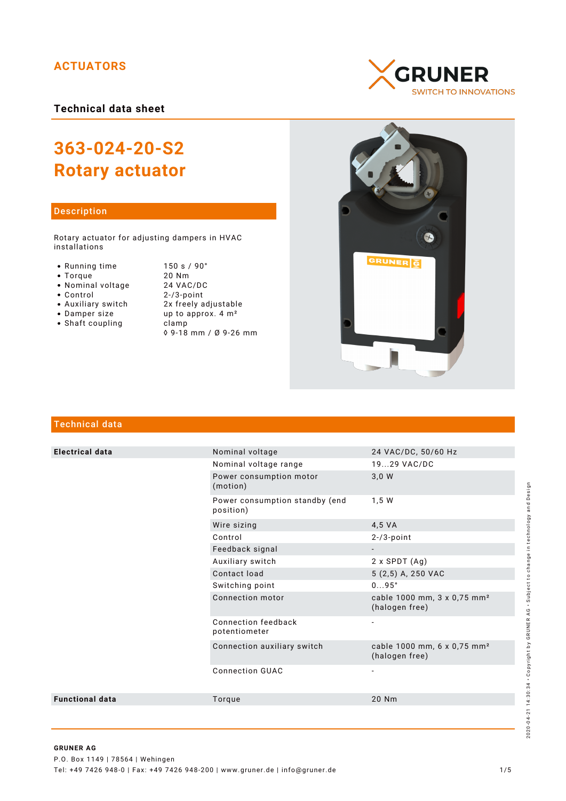# **ACTUATORS**

**Technical data sheet**

# **363-024-20-S2 Rotary actuator**

## Description

Rotary actuator for adjusting dampers in HVAC installations

- 
- 
- 
- Nominal voltage<br>• Control
- 
- 
- $\bullet$  Shaft coupling

● Running time 150 s / 90°<br>● Torque 20 Nm • Torque 20 Nm<br>• Nominal voltage 24 VAC/DC  $2 - / 3$ -point Auxiliary switch 2x freely adjustable • Damper size up to approx.  $4 \text{ m}^2$ <br>• Shaft coupling clamp ◊ 9-18 mm / Ø 9-26 mm





# Technical data

| <b>Electrical data</b> | Nominal voltage                             | 24 VAC/DC, 50/60 Hz                                       |
|------------------------|---------------------------------------------|-----------------------------------------------------------|
|                        | Nominal voltage range                       | 1929 VAC/DC                                               |
|                        | Power consumption motor<br>(motion)         | 3,0 W                                                     |
|                        | Power consumption standby (end<br>position) | 1,5 W                                                     |
|                        | Wire sizing                                 | 4.5 VA                                                    |
|                        | Control                                     | $2 - 73$ -point                                           |
|                        | Feedback signal                             |                                                           |
|                        | Auxiliary switch                            | $2 \times$ SPDT $(Ag)$                                    |
|                        | Contact load                                | 5 (2,5) A, 250 VAC                                        |
|                        | Switching point                             | $095^\circ$                                               |
|                        | Connection motor                            | cable 1000 mm, 3 x 0,75 mm <sup>2</sup><br>(halogen free) |
|                        | Connection feedback<br>potentiometer        | $\overline{a}$                                            |
|                        | Connection auxiliary switch                 | cable 1000 mm, 6 x 0,75 mm <sup>2</sup><br>(halogen free) |
|                        | <b>Connection GUAC</b>                      |                                                           |
| <b>Functional data</b> | Torque                                      | 20 Nm                                                     |
|                        |                                             |                                                           |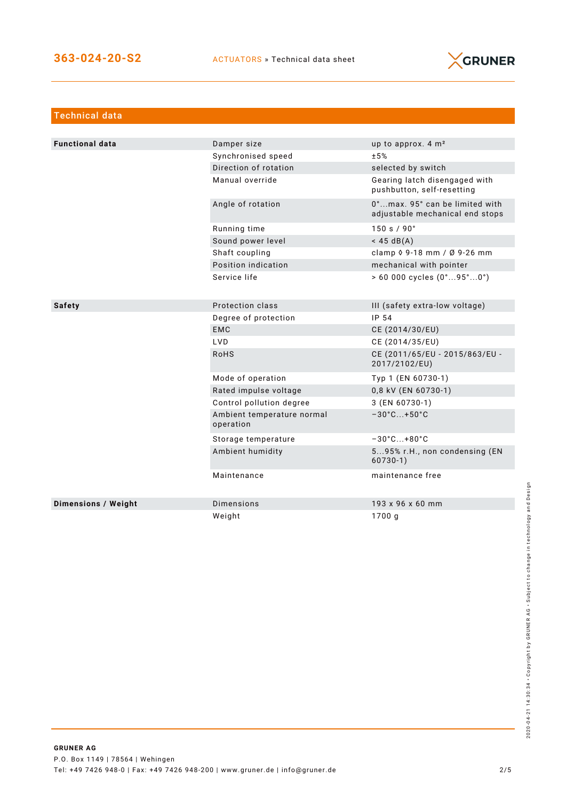

| <b>Technical data</b>      |                                         |                                                                     |
|----------------------------|-----------------------------------------|---------------------------------------------------------------------|
|                            |                                         |                                                                     |
| <b>Functional data</b>     | Damper size                             | up to approx. 4 m <sup>2</sup>                                      |
|                            | Synchronised speed                      | ±5%                                                                 |
|                            | Direction of rotation                   | selected by switch                                                  |
|                            | Manual override                         | Gearing latch disengaged with<br>pushbutton, self-resetting         |
|                            | Angle of rotation                       | 0°  max. 95° can be limited with<br>adjustable mechanical end stops |
|                            | Running time                            | 150 s / 90°                                                         |
|                            | Sound power level                       | $<$ 45 dB(A)                                                        |
|                            | Shaft coupling                          | clamp $\sqrt{9} - 18$ mm / $\sqrt{9} - 26$ mm                       |
|                            | Position indication                     | mechanical with pointer                                             |
|                            | Service life                            | $> 60000$ cycles $(0^{\circ}95^{\circ}0^{\circ})$                   |
|                            |                                         |                                                                     |
| <b>Safety</b>              | Protection class                        | III (safety extra-low voltage)                                      |
|                            | Degree of protection                    | IP 54                                                               |
|                            | <b>EMC</b>                              | CE (2014/30/EU)                                                     |
|                            | <b>LVD</b>                              | CE (2014/35/EU)                                                     |
|                            | <b>RoHS</b>                             | CE (2011/65/EU - 2015/863/EU -<br>2017/2102/EU)                     |
|                            | Mode of operation                       | Typ 1 (EN 60730-1)                                                  |
|                            | Rated impulse voltage                   | 0,8 kV (EN 60730-1)                                                 |
|                            | Control pollution degree                | 3 (EN 60730-1)                                                      |
|                            | Ambient temperature normal<br>operation | $-30^{\circ}$ C +50 $^{\circ}$ C                                    |
|                            | Storage temperature                     | $-30^{\circ}$ C +80 $^{\circ}$ C                                    |
|                            | Ambient humidity                        | 595% r.H., non condensing (EN<br>$60730-1)$                         |
|                            | Maintenance                             | maintenance free                                                    |
| <b>Dimensions / Weight</b> | <b>Dimensions</b>                       | 193 x 96 x 60 mm                                                    |
|                            | Weight                                  | 1700 g                                                              |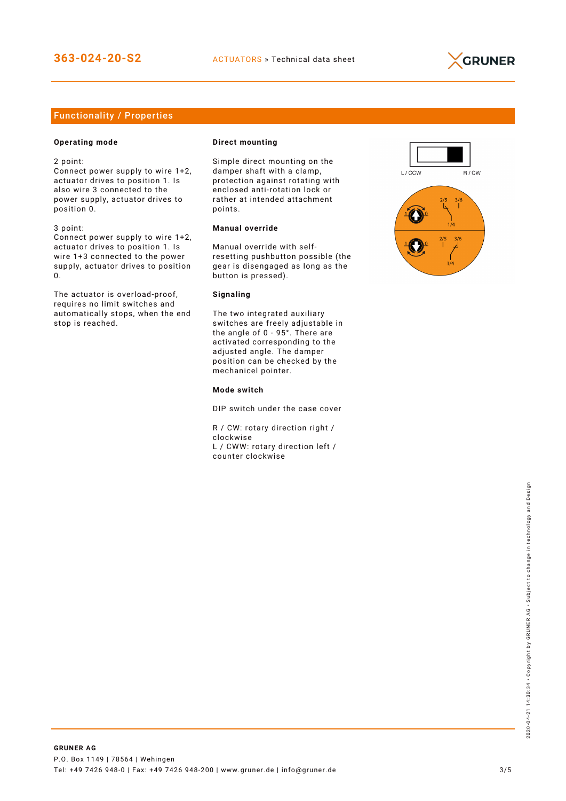

# Functionality / Properties

## **Operating mode**

2 point:

Connect power supply to wire 1+2, actuator drives to position 1. Is also wire 3 connected to the power supply, actuator drives to position 0.

3 point:

Connect power supply to wire 1+2, actuator drives to position 1. Is wire 1+3 connected to the power supply, actuator drives to position 0.

The actuator is overload-proof, requires no limit switches and automatically stops, when the end stop is reached.

#### **Direct mounting**

Simple direct mounting on the damper shaft with a clamp, protection against rotating with enclosed anti-rotation lock or rather at intended attachment points.

## **Manual override**

Manual override with selfresetting pushbutton possible (the gear is disengaged as long as the button is pressed).

#### **Signaling**

The two integrated auxiliary switches are freely adjustable in the angle of 0 - 95°. There are activated corresponding to the adjusted angle. The damper position can be checked by the mechanicel pointer.

#### **Mode switch**

DIP switch under the case cover

R / CW: rotary direction right / clockwise L / CWW: rotary direction left / counter clockwise

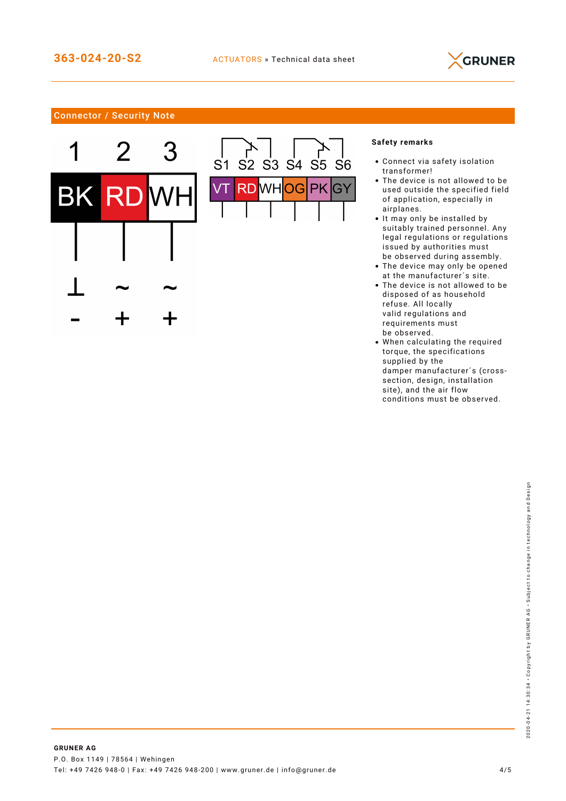

# Connector / Security Note





# **Safety remarks**

- Connect via safety isolation transformer!
- The device is not allowed to be used outside the specified field of application, especially in airplanes.
- It may only be installed by suitably trained personnel. Any legal regulations or regulations issued by authorities must be observed during assembly.
- The device may only be opened at the manufacturer´s site.
- The device is not allowed to be disposed of as household refuse. All locally valid regulations and requirements must be observed.
- When calculating the required torque, the specifications supplied by the damper manufacturer´s (crosssection, design, installation site), and the air flow conditions must be observed.